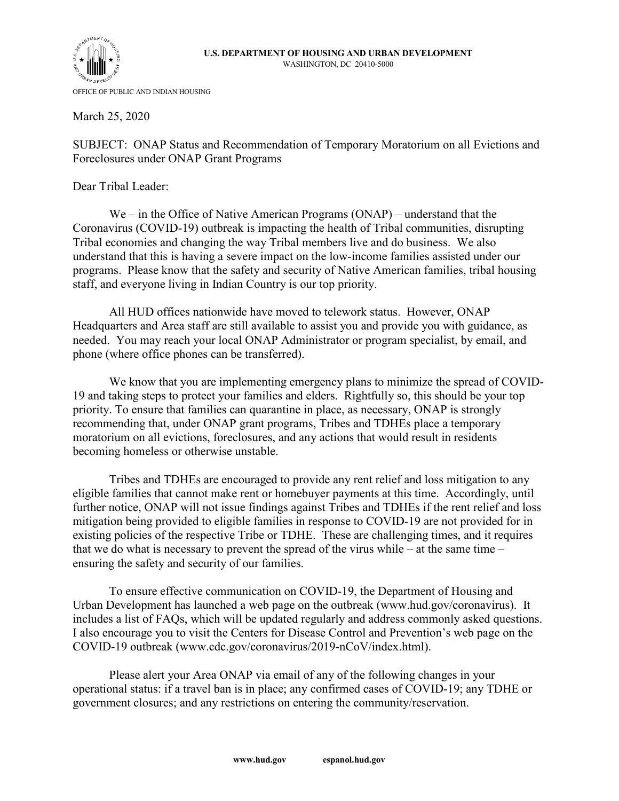



March 25, 2020

SUBJECT: ONAP Status and Recommendation of Temporary Moratorium on all Evictions and Foreclosures under ONAP Grant Programs

Dear Tribal Leader:

We – in the Office of Native American Programs (ONAP) – understand that the Coronavirus (COVID-19) outbreak is impacting the health of Tribal communities, disrupting Tribal economies and changing the way Tribal members live and do business. We also understand that this is having a severe impact on the low-income families assisted under our programs. Please know that the safety and security of Native American families, tribal housing staff, and everyone living in Indian Country is our top priority.

All HUD offices nationwide have moved to telework status. However, ONAP Headquarters and Area staff are still available to assist you and provide you with guidance, as needed. You may reach your local ONAP Administrator or program specialist, by email, and phone (where office phones can be transferred).

We know that you are implementing emergency plans to minimize the spread of COVID-19 and taking steps to protect your families and elders. Rightfully so, this should be your top priority. To ensure that families can quarantine in place, as necessary, ONAP is strongly recommending that, under ONAP grant programs, Tribes and TDHEs place a temporary moratorium on all evictions, foreclosures, and any actions that would result in residents becoming homeless or otherwise unstable.

Tribes and TDHEs are encouraged to provide any rent relief and loss mitigation to any eligible families that cannot make rent or homebuyer payments at this time. Accordingly, until further notice, ONAP will not issue findings against Tribes and TDHEs if the rent relief and loss mitigation being provided to eligible families in response to COVID-19 are not provided for in existing policies of the respective Tribe or TDHE. These are challenging times, and it requires that we do what is necessary to prevent the spread of the virus while – at the same time – ensuring the safety and security of our families.

To ensure effective communication on COVID-19, the Department of Housing and Urban Development has launched a web page on the outbreak (www.hud.gov/coronavirus). It includes a list of FAQs, which will be updated regularly and address commonly asked questions. I also encourage you to visit the Centers for Disease Control and Prevention's web page on the COVID-19 outbreak (www.cdc.gov/coronavirus/2019-nCoV/index.html).

Please alert your Area ONAP via email of any of the following changes in your operational status: if a travel ban is in place; any confirmed cases of COVID-19; any TDHE or government closures; and any restrictions on entering the community/reservation.